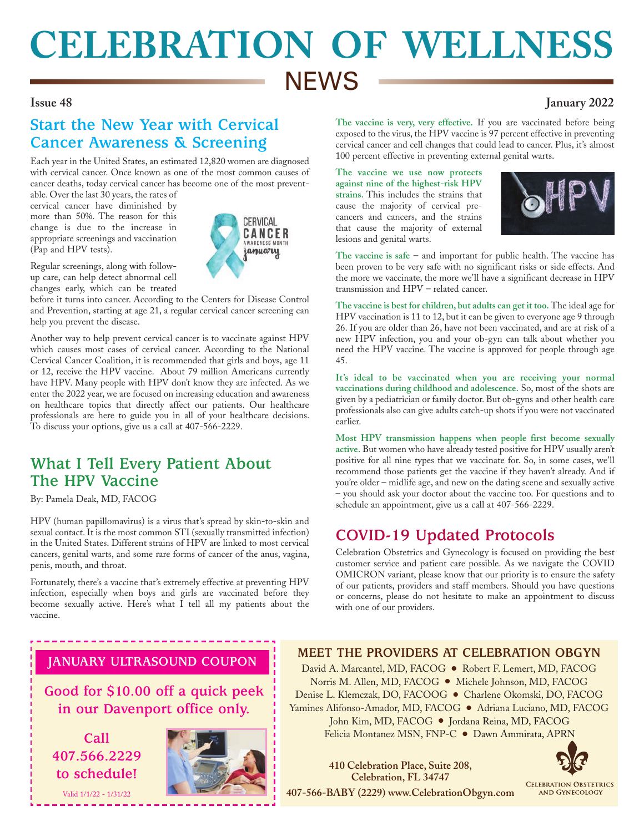# **CELEBRATION OF WELLNESS NEWS**

## **Issue 48 January 2022**

# **Start the New Year with Cervical Cancer Awareness & Screening**

Each year in the United States, an estimated 12,820 women are diagnosed with cervical cancer. Once known as one of the most common causes of cancer deaths, today cervical cancer has become one of the most prevent-

able. Over the last 30 years, the rates of cervical cancer have diminished by more than 50%. The reason for this change is due to the increase in appropriate screenings and vaccination (Pap and HPV tests).



Regular screenings, along with followup care, can help detect abnormal cell changes early, which can be treated

before it turns into cancer. According to the Centers for Disease Control and Prevention, starting at age 21, a regular cervical cancer screening can help you prevent the disease.

Another way to help prevent cervical cancer is to vaccinate against HPV which causes most cases of cervical cancer. According to the National Cervical Cancer Coalition, it is recommended that girls and boys, age 11 or 12, receive the HPV vaccine. About 79 million Americans currently have HPV. Many people with HPV don't know they are infected. As we enter the 2022 year, we are focused on increasing education and awareness on healthcare topics that directly affect our patients. Our healthcare professionals are here to guide you in all of your healthcare decisions. To discuss your options, give us a call at 407-566-2229.

## **What I Tell Every Patient About The HPV Vaccine**

By: Pamela Deak, MD, FACOG

HPV (human papillomavirus) is a virus that's spread by skin-to-skin and sexual contact. It is the most common STI (sexually transmitted infection) in the United States. Different strains of HPV are linked to most cervical cancers, genital warts, and some rare forms of cancer of the anus, vagina, penis, mouth, and throat.

Fortunately, there's a vaccine that's extremely effective at preventing HPV infection, especially when boys and girls are vaccinated before they become sexually active. Here's what I tell all my patients about the vaccine.

#### **The vaccine is very, very effective.** If you are vaccinated before being exposed to the virus, the HPV vaccine is 97 percent effective in preventing cervical cancer and cell changes that could lead to cancer. Plus, it's almost 100 percent effective in preventing external genital warts.

**The vaccine we use now protects against nine of the highest-risk HPV strains.** This includes the strains that cause the majority of cervical precancers and cancers, and the strains that cause the majority of external lesions and genital warts.



**The vaccine is safe** – and important for public health. The vaccine has been proven to be very safe with no significant risks or side effects. And the more we vaccinate, the more we'll have a significant decrease in HPV transmission and HPV – related cancer.

**The vaccine is best for children, but adults can get it too.** The ideal age for HPV vaccination is 11 to 12, but it can be given to everyone age 9 through 26. If you are older than 26, have not been vaccinated, and are at risk of a new HPV infection, you and your ob-gyn can talk about whether you need the HPV vaccine. The vaccine is approved for people through age 45.

**It's ideal to be vaccinated when you are receiving your normal vaccinations during childhood and adolescence.** So, most of the shots are given by a pediatrician or family doctor. But ob-gyns and other health care professionals also can give adults catch-up shots if you were not vaccinated earlier.

**Most HPV transmission happens when people first become sexually active.** But women who have already tested positive for HPV usually aren't positive for all nine types that we vaccinate for. So, in some cases, we'll recommend those patients get the vaccine if they haven't already. And if you're older – midlife age, and new on the dating scene and sexually active – you should ask your doctor about the vaccine too. For questions and to schedule an appointment, give us a call at 407-566-2229.

# **COVID-19 Updated Protocols**

Celebration Obstetrics and Gynecology is focused on providing the best customer service and patient care possible. As we navigate the COVID OMICRON variant, please know that our priority is to ensure the safety of our patients, providers and staff members. Should you have questions or concerns, please do not hesitate to make an appointment to discuss with one of our providers.

## **JANUARY ULTRASOUND COUPON**

**Good for \$10.00 off a quick peek in our Davenport office only.**

**Call 407.566.2229 to schedule!**

Valid 1/1/22 - 1/31/22



## **MEET THE PROVIDERS AT CELEBRATION OBGYN**

David A. Marcantel, MD, FACOG ● Robert F. Lemert, MD, FACOG Norris M. Allen, MD, FACOG ● Michele Johnson, MD, FACOG Denise L. Klemczak, DO, FACOOG ● Charlene Okomski, DO, FACOG Yamines Alifonso-Amador, MD, FACOG ● Adriana Luciano, MD, FACOG John Kim, MD, FACOG ● Jordana Reina, MD, FACOG Felicia Montanez MSN, FNP-C ● Dawn Ammirata, APRN

**Celebration, FL 34747 407-566-BABY (2229) www.CelebrationObgyn.com**

**410 Celebration Place, Suite 208,** 

**CELEBRATION OBSTETRICS AND GYNECOLOGY**